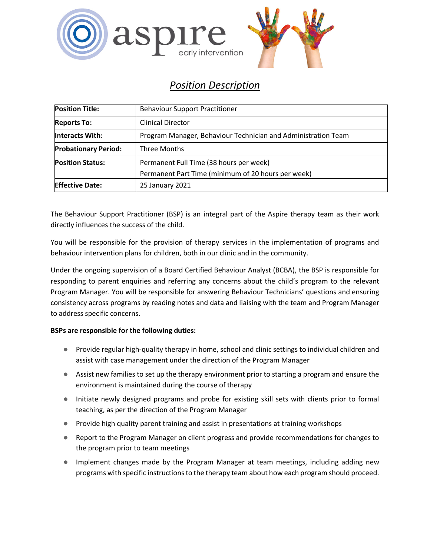

# *Position Description*

| <b>Position Title:</b>      | <b>Behaviour Support Practitioner</b>                         |
|-----------------------------|---------------------------------------------------------------|
| <b>Reports To:</b>          | <b>Clinical Director</b>                                      |
| <b>Interacts With:</b>      | Program Manager, Behaviour Technician and Administration Team |
| <b>Probationary Period:</b> | Three Months                                                  |
| <b>Position Status:</b>     | Permanent Full Time (38 hours per week)                       |
|                             | Permanent Part Time (minimum of 20 hours per week)            |
| <b>Effective Date:</b>      | 25 January 2021                                               |

The Behaviour Support Practitioner (BSP) is an integral part of the Aspire therapy team as their work directly influences the success of the child.

You will be responsible for the provision of therapy services in the implementation of programs and behaviour intervention plans for children, both in our clinic and in the community.

Under the ongoing supervision of a Board Certified Behaviour Analyst (BCBA), the BSP is responsible for responding to parent enquiries and referring any concerns about the child's program to the relevant Program Manager. You will be responsible for answering Behaviour Technicians' questions and ensuring consistency across programs by reading notes and data and liaising with the team and Program Manager to address specific concerns.

## **BSPs are responsible for the following duties:**

- Provide regular high-quality therapy in home, school and clinic settings to individual children and assist with case management under the direction of the Program Manager
- Assist new families to set up the therapy environment prior to starting a program and ensure the environment is maintained during the course of therapy
- Initiate newly designed programs and probe for existing skill sets with clients prior to formal teaching, as per the direction of the Program Manager
- Provide high quality parent training and assist in presentations at training workshops
- Report to the Program Manager on client progress and provide recommendations for changes to the program prior to team meetings
- Implement changes made by the Program Manager at team meetings, including adding new programs with specific instructions to the therapy team about how each program should proceed.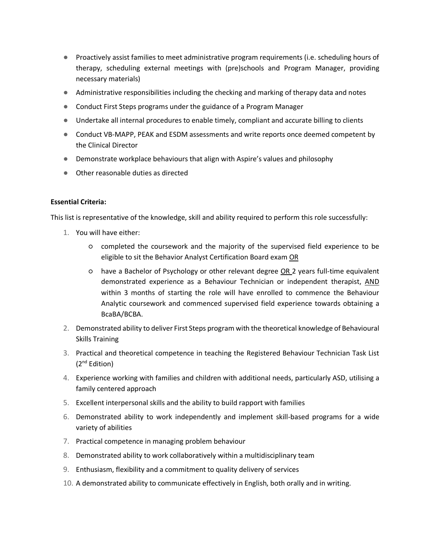- Proactively assist families to meet administrative program requirements (i.e. scheduling hours of therapy, scheduling external meetings with (pre)schools and Program Manager, providing necessary materials)
- Administrative responsibilities including the checking and marking of therapy data and notes
- Conduct First Steps programs under the guidance of a Program Manager
- Undertake all internal procedures to enable timely, compliant and accurate billing to clients
- Conduct VB-MAPP, PEAK and ESDM assessments and write reports once deemed competent by the Clinical Director
- Demonstrate workplace behaviours that align with Aspire's values and philosophy
- Other reasonable duties as directed

#### **Essential Criteria:**

This list is representative of the knowledge, skill and ability required to perform this role successfully:

- 1. You will have either:
	- completed the coursework and the majority of the supervised field experience to be eligible to sit the Behavior Analyst Certification Board exam OR
	- have a Bachelor of Psychology or other relevant degree OR 2 years full-time equivalent demonstrated experience as a Behaviour Technician or independent therapist, AND within 3 months of starting the role will have enrolled to commence the Behaviour Analytic coursework and commenced supervised field experience towards obtaining a BcaBA/BCBA.
- 2. Demonstrated ability to deliver First Steps program with the theoretical knowledge of Behavioural Skills Training
- 3. Practical and theoretical competence in teaching the Registered Behaviour Technician Task List (2nd Edition)
- 4. Experience working with families and children with additional needs, particularly ASD, utilising a family centered approach
- 5. Excellent interpersonal skills and the ability to build rapport with families
- 6. Demonstrated ability to work independently and implement skill-based programs for a wide variety of abilities
- 7. Practical competence in managing problem behaviour
- 8. Demonstrated ability to work collaboratively within a multidisciplinary team
- 9. Enthusiasm, flexibility and a commitment to quality delivery of services
- 10. A demonstrated ability to communicate effectively in English, both orally and in writing.